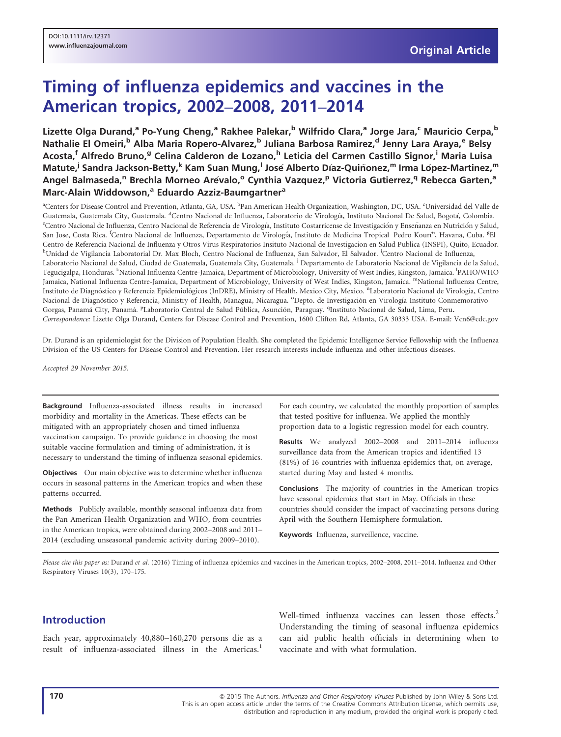# Timing of influenza epidemics and vaccines in the American tropics, 2002–2008, 2011–2014

Lizette Olga Durand,<sup>a</sup> Po-Yung Cheng,<sup>a</sup> Rakhee Palekar,<sup>b</sup> Wilfrido Clara,<sup>a</sup> Jorge Jara,<sup>c</sup> Mauricio Cerpa,<sup>b</sup> Nathalie El Omeiri,<sup>b</sup> Alba Maria Ropero-Alvarez,<sup>b</sup> Juliana Barbosa Ramirez,<sup>d</sup> Jenny Lara Araya,<sup>e</sup> Belsy Acosta,<sup>f</sup> Alfredo Bruno,<sup>g</sup> Celina Calderon de Lozano,<sup>h</sup> Leticia del Carmen Castillo Signor,<sup>i</sup> Maria Luisa Matute,<sup>j</sup> Sandra Jackson-Betty,<sup>k</sup> Kam Suan Mung,<sup>l</sup> José Alberto Díaz-Quiñonez,<sup>m</sup> Irma López-Martinez,<sup>m</sup> Angel Balmaseda,<sup>n</sup> Brechla Morneo Arévalo,<sup>o</sup> Cynthia Vazquez,<sup>p</sup> Victoria Gutierrez,<sup>q</sup> Rebecca Garten,<sup>a</sup> Marc-Alain Widdowson,<sup>a</sup> Eduardo Azziz-Baumgartner<sup>a</sup>

<sup>a</sup>Centers for Disease Control and Prevention, Atlanta, GA, USA. <sup>b</sup>Pan American Health Organization, Washington, DC, USA. <sup>c</sup>Universidad del Valle de Guatemala, Guatemala City, Guatemala. <sup>d</sup>Centro Nacional de Influenza, Laboratorio de Virología, Instituto Nacional De Salud, Bogotá, Colombia.<br><sup>e</sup>Centro Nacional de Influenza, Centro Nacional de Referencia de Virología, I <sup>e</sup>Centro Nacional de Influenza, Centro Nacional de Referencia de Virología, Instituto Costarricense de Investigación y Enseñanza en Nutrición y Salud, San Jose, Costa Rica. <sup>f</sup>Centro Nacional de Influenza, Departamento de Virología, Instituto de Medicina Tropical Pedro Kourí", Havana, Cuba. <sup>g</sup>El Centro de Referencia Nacional de Influenza y Otros Virus Respiratorios Insituto Nacional de Investigacion en Salud Publica (INSPI), Quito, Ecuador. <sup>h</sup>Unidad de Vigilancia Laboratorial Dr. Max Bloch, Centro Nacional de Influenza, San Salvador, El Salvador. <sup>i</sup>Centro Nacional de Influenza, Laboratorio Nacional de Salud, Ciudad de Guatemala, Guatemala City, Guatemala. <sup>j</sup> Departamento de Laboratorio Nacional de Vigilancia de la Salud, Tegucigalpa, Honduras. <sup>k</sup>National Influenza Centre-Jamaica, Department of Microbiology, University of West Indies, Kingston, Jamaica. <sup>1</sup>PAHO/WHO Jamaica, National Influenza Centre-Jamaica, Department of Microbiology, University of West Indies, Kingston, Jamaica. "National Influenza Centre, Instituto de Diagnóstico y Referencia Epidemiológicos (InDRE), Ministry of Health, Mexico City, Mexico. "Laboratorio Nacional de Virología, Centro Nacional de Diagnóstico y Referencia, Ministry of Health, Managua, Nicaragua. <sup>o</sup>Depto. de Investigación en Virología Instituto Conmemorativo Gorgas, Panamá City, Panamá. <sup>P</sup>Laboratorio Central de Salud Pública, Asunción, Paraguay. <sup>q</sup>Instituto Nacional de Salud, Lima, Peru. Correspondence: Lizette Olga Durand, Centers for Disease Control and Prevention, 1600 Clifton Rd, Atlanta, GA 30333 USA. E-mail: Vcn6@cdc.gov

Dr. Durand is an epidemiologist for the Division of Population Health. She completed the Epidemic Intelligence Service Fellowship with the Influenza Division of the US Centers for Disease Control and Prevention. Her research interests include influenza and other infectious diseases.

Accepted 29 November 2015.

Background Influenza-associated illness results in increased morbidity and mortality in the Americas. These effects can be mitigated with an appropriately chosen and timed influenza vaccination campaign. To provide guidance in choosing the most suitable vaccine formulation and timing of administration, it is necessary to understand the timing of influenza seasonal epidemics.

Objectives Our main objective was to determine whether influenza occurs in seasonal patterns in the American tropics and when these patterns occurred.

Methods Publicly available, monthly seasonal influenza data from the Pan American Health Organization and WHO, from countries in the American tropics, were obtained during 2002–2008 and 2011– 2014 (excluding unseasonal pandemic activity during 2009–2010).

For each country, we calculated the monthly proportion of samples that tested positive for influenza. We applied the monthly proportion data to a logistic regression model for each country.

Results We analyzed 2002–2008 and 2011–2014 influenza surveillance data from the American tropics and identified 13 (81%) of 16 countries with influenza epidemics that, on average, started during May and lasted 4 months.

Conclusions The majority of countries in the American tropics have seasonal epidemics that start in May. Officials in these countries should consider the impact of vaccinating persons during April with the Southern Hemisphere formulation.

Keywords Influenza, surveillence, vaccine.

Please cite this paper as: Durand et al. (2016) Timing of influenza epidemics and vaccines in the American tropics, 2002-2008, 2011-2014. Influenza and Other Respiratory Viruses [10\(3\), 170](info:doi/10.1111/irv.12371)–175.

## Introduction

Each year, approximately 40,880–160,270 persons die as a result of influenza-associated illness in the Americas.<sup>1</sup>

Well-timed influenza vaccines can lessen those effects.<sup>2</sup> Understanding the timing of seasonal influenza epidemics can aid public health officials in determining when to vaccinate and with what formulation.

<sup>170</sup> **170 and Struth Authors.** Influenza and Other Respiratory Viruses Published by John Wiley & Sons Ltd. This is an open access article under the terms of the [Creative Commons Attribution](http://creativecommons.org/licenses/by/4.0/) License, which permits use, distribution and reproduction in any medium, provided the original work is properly cited.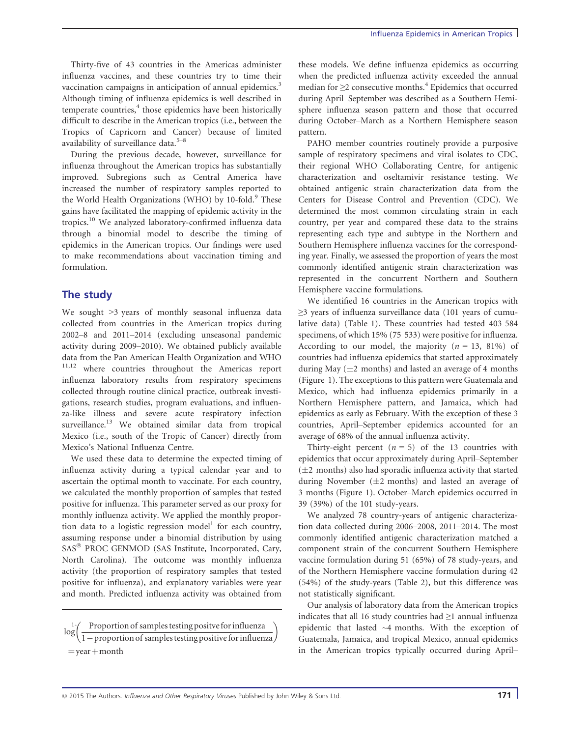Thirty-five of 43 countries in the Americas administer influenza vaccines, and these countries try to time their vaccination campaigns in anticipation of annual epidemics.<sup>3</sup> Although timing of influenza epidemics is well described in temperate countries, $4$  those epidemics have been historically difficult to describe in the American tropics (i.e., between the Tropics of Capricorn and Cancer) because of limited availability of surveillance data.5–<sup>8</sup>

During the previous decade, however, surveillance for influenza throughout the American tropics has substantially improved. Subregions such as Central America have increased the number of respiratory samples reported to the World Health Organizations (WHO) by  $10$ -fold.<sup>9</sup> These gains have facilitated the mapping of epidemic activity in the tropics.<sup>10</sup> We analyzed laboratory-confirmed influenza data through a binomial model to describe the timing of epidemics in the American tropics. Our findings were used to make recommendations about vaccination timing and formulation.

### The study

We sought  $>3$  years of monthly seasonal influenza data collected from countries in the American tropics during 2002–8 and 2011–2014 (excluding unseasonal pandemic activity during 2009–2010). We obtained publicly available data from the Pan American Health Organization and WHO 11,12 where countries throughout the Americas report influenza laboratory results from respiratory specimens collected through routine clinical practice, outbreak investigations, research studies, program evaluations, and influenza-like illness and severe acute respiratory infection surveillance.<sup>13</sup> We obtained similar data from tropical Mexico (i.e., south of the Tropic of Cancer) directly from Mexico's National Influenza Centre.

We used these data to determine the expected timing of influenza activity during a typical calendar year and to ascertain the optimal month to vaccinate. For each country, we calculated the monthly proportion of samples that tested positive for influenza. This parameter served as our proxy for monthly influenza activity. We applied the monthly proportion data to a logistic regression model<sup>1</sup> for each country, assuming response under a binomial distribution by using SAS<sup>®</sup> PROC GENMOD (SAS Institute, Incorporated, Cary, North Carolina). The outcome was monthly influenza activity (the proportion of respiratory samples that tested positive for influenza), and explanatory variables were year and month. Predicted influenza activity was obtained from

 $\log \left( \frac{\text{Proportion of samples testing positive for influenza}}{1-\text{proportion of samples testing positive for influenza}} \right)$  $=$ year  $+$  month

these models. We define influenza epidemics as occurring when the predicted influenza activity exceeded the annual median for  $\geq$ 2 consecutive months.<sup>4</sup> Epidemics that occurred during April–September was described as a Southern Hemisphere influenza season pattern and those that occurred during October–March as a Northern Hemisphere season pattern.

PAHO member countries routinely provide a purposive sample of respiratory specimens and viral isolates to CDC, their regional WHO Collaborating Centre, for antigenic characterization and oseltamivir resistance testing. We obtained antigenic strain characterization data from the Centers for Disease Control and Prevention (CDC). We determined the most common circulating strain in each country, per year and compared these data to the strains representing each type and subtype in the Northern and Southern Hemisphere influenza vaccines for the corresponding year. Finally, we assessed the proportion of years the most commonly identified antigenic strain characterization was represented in the concurrent Northern and Southern Hemisphere vaccine formulations.

We identified 16 countries in the American tropics with ≥3 years of influenza surveillance data (101 years of cumulative data) (Table 1). These countries had tested 403 584 specimens, of which 15% (75 533) were positive for influenza. According to our model, the majority  $(n = 13, 81\%)$  of countries had influenza epidemics that started approximately during May  $(\pm 2$  months) and lasted an average of 4 months (Figure 1). The exceptions to this pattern were Guatemala and Mexico, which had influenza epidemics primarily in a Northern Hemisphere pattern, and Jamaica, which had epidemics as early as February. With the exception of these 3 countries, April–September epidemics accounted for an average of 68% of the annual influenza activity.

Thirty-eight percent  $(n = 5)$  of the 13 countries with epidemics that occur approximately during April–September  $(\pm 2$  months) also had sporadic influenza activity that started during November  $(\pm 2$  months) and lasted an average of 3 months (Figure 1). October–March epidemics occurred in 39 (39%) of the 101 study-years.

We analyzed 78 country-years of antigenic characterization data collected during 2006–2008, 2011–2014. The most commonly identified antigenic characterization matched a component strain of the concurrent Southern Hemisphere vaccine formulation during 51 (65%) of 78 study-years, and of the Northern Hemisphere vaccine formulation during 42 (54%) of the study-years (Table 2), but this difference was not statistically significant.

Our analysis of laboratory data from the American tropics indicates that all 16 study countries had  $\geq 1$  annual influenza epidemic that lasted ~4 months. With the exception of Guatemala, Jamaica, and tropical Mexico, annual epidemics in the American tropics typically occurred during April–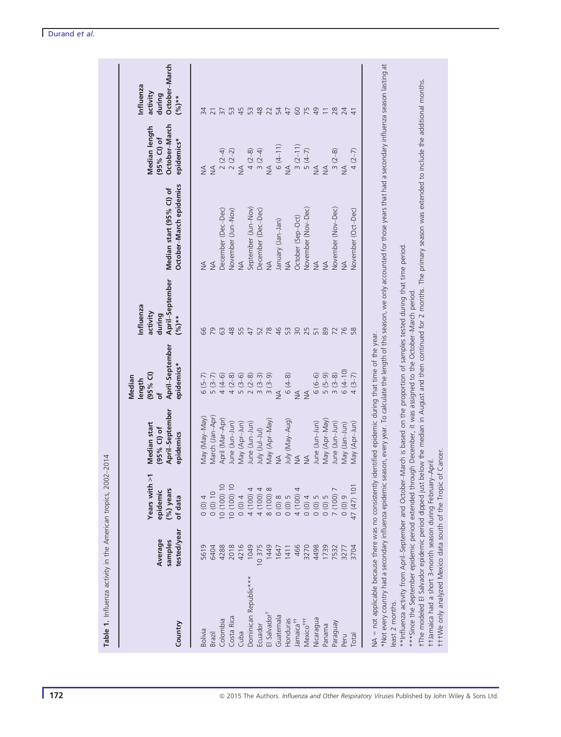| Country                                                                                                                          | tested/year<br>Average<br>samples | Years with >1<br>$(%)$ years<br>epidemic<br>of data | April-September<br>Median start<br>$(95%$ CI) of<br>epidemics | April-September<br>epidemics*<br>$(95%$ CI)<br>Median<br>length<br>đ | April-September<br>nfluenza<br>activity<br>during<br>$({}^{96}_{0})**$ | October-March epidemics<br>Median start (95% CI) of                                                                                                                                                  | October-March<br>Median length<br>(95% CI) of<br>epidemics* | October-March<br>Influenza<br>activity<br>during<br>$(9/6)**$ |
|----------------------------------------------------------------------------------------------------------------------------------|-----------------------------------|-----------------------------------------------------|---------------------------------------------------------------|----------------------------------------------------------------------|------------------------------------------------------------------------|------------------------------------------------------------------------------------------------------------------------------------------------------------------------------------------------------|-------------------------------------------------------------|---------------------------------------------------------------|
| <b>Bolivia</b>                                                                                                                   | 5619                              | 0(0)4                                               | (VeM-VeM) VeM                                                 | $6(5-7)$                                                             | 89                                                                     | $\frac{1}{2}$                                                                                                                                                                                        | $\frac{1}{2}$                                               | 34                                                            |
| <b>Brazil</b>                                                                                                                    | 6404                              | 0(0)10                                              | March (Jan-Apr)                                               | $5(3-7)$                                                             | 29                                                                     | $\frac{4}{2}$                                                                                                                                                                                        | $\leq$                                                      | $\overline{2}$                                                |
| Colombia                                                                                                                         | 4288                              | 10 (100) 10                                         | April (Mar-Apr)                                               |                                                                      | 63                                                                     | December (Dec-Dec)                                                                                                                                                                                   | $2(2-4)$<br>$2(2-2)$                                        |                                                               |
| Costa Rica                                                                                                                       | 2018                              | 10 (100) 10                                         | June (Jun-Jun)                                                |                                                                      | 48                                                                     | November (Jun-Nov)                                                                                                                                                                                   |                                                             | 53                                                            |
| Cuba                                                                                                                             | 4216                              | (0)0                                                | Vlay (Apr-Jun)                                                |                                                                      | 55                                                                     | $\leq$                                                                                                                                                                                               | $\leq$                                                      | 45                                                            |
| Dominican Republic***                                                                                                            | 1049                              | 4 (100) 4                                           | June (Jun-Jun)                                                |                                                                      | 47                                                                     | September (Jun-Nov)                                                                                                                                                                                  |                                                             | 53                                                            |
| Ecuador                                                                                                                          | 10375                             | 4 (100) 4                                           | (lul-lul) ylul                                                |                                                                      | 52                                                                     | December (Dec-Dec)                                                                                                                                                                                   | $4(2-8)$<br>3 (2-4)<br>NA                                   | 48                                                            |
| El Salvador                                                                                                                      | 1449                              | 8 (100) 8                                           | (VeM-rqA) VeM                                                 | $3(3-9)$                                                             | 78                                                                     | $\frac{1}{2}$                                                                                                                                                                                        |                                                             | 22                                                            |
| Guatemala                                                                                                                        | 1647                              | 0(0)8                                               | $\frac{4}{2}$                                                 | $\frac{4}{2}$                                                        | 46                                                                     | (nal-nal) yiaunal                                                                                                                                                                                    |                                                             | $\overline{5}$                                                |
| Honduras                                                                                                                         | 1411                              | 0(0)5                                               | July (May–Aug)                                                | $6(4-8)$                                                             | 53                                                                     | $\frac{4}{2}$                                                                                                                                                                                        | $6(4-11)$<br>NA                                             | 47                                                            |
| Jamaica <sup>†1</sup>                                                                                                            | 466                               | 4 (100)                                             | $\leq$                                                        | $\frac{4}{2}$                                                        |                                                                        | October (Sep-Oct)                                                                                                                                                                                    |                                                             |                                                               |
| Mexico <sup>†††</sup>                                                                                                            | 3270                              | (0)0                                                | $\frac{4}{2}$                                                 | $\frac{1}{2}$                                                        |                                                                        | November (Nov-Dec)                                                                                                                                                                                   |                                                             | 6254                                                          |
| Nicaragua                                                                                                                        | 4498                              | $0(0)5$<br>0(0) 5                                   | June (Jun-Jun)                                                | $6(6-6)$                                                             |                                                                        | $\leq$                                                                                                                                                                                               | $3 (2-11)$<br>$5 (4-7)$<br>$10A$<br>$10A$<br>$10A$          |                                                               |
| Panama                                                                                                                           | I739                              |                                                     | Vlay (Apr-May)                                                | $(6-9)$                                                              | 89                                                                     | $\frac{1}{2}$                                                                                                                                                                                        |                                                             | $\overline{-}$                                                |
| Paraguay                                                                                                                         | 7532                              | 7 (100)                                             | June (Jun-Jun)                                                | $3(3-8)$                                                             | 72                                                                     | November (Nov-Dec)                                                                                                                                                                                   | $3(2-8)$                                                    | $28$                                                          |
| Peru                                                                                                                             | 3277                              | 6(0)0                                               | May (Jan-Jun)                                                 | $6(4-10)$                                                            | 76                                                                     | $\frac{4}{2}$                                                                                                                                                                                        | $\frac{1}{2}$                                               | 24                                                            |
| Total                                                                                                                            | 3704                              | 47 (47) 101                                         | Vlay (Apr-Jun)                                                | $(3 - 7)$                                                            |                                                                        | November (Oct-Dec)                                                                                                                                                                                   | $4(2-7)$                                                    |                                                               |
| NA = not applicable because there was no consistently                                                                            |                                   |                                                     | identified epidemic during that time of the year.             |                                                                      |                                                                        |                                                                                                                                                                                                      |                                                             |                                                               |
|                                                                                                                                  |                                   |                                                     |                                                               |                                                                      |                                                                        | *Not every country had a secondary influenza epidemic season, every year. To calculate the length of this season, we only accounted for those years that had a secondary influenza season lasting at |                                                             |                                                               |
| least 2 months.                                                                                                                  |                                   |                                                     |                                                               |                                                                      |                                                                        |                                                                                                                                                                                                      |                                                             |                                                               |
| **Influenza activity from April-September and October-March is based on the proportion of samples tested during that time period |                                   |                                                     |                                                               |                                                                      |                                                                        |                                                                                                                                                                                                      |                                                             |                                                               |
| ***Since the September epidemic period extended through December, it was assigned to the October-March period.                   |                                   |                                                     |                                                               |                                                                      |                                                                        |                                                                                                                                                                                                      |                                                             |                                                               |
| fThe modeled El Salvador epidemic period dipped just                                                                             |                                   |                                                     |                                                               |                                                                      |                                                                        | below the median in August and then continued for 2 months. The primary season was extended to include the additional months.                                                                        |                                                             |                                                               |
| fit time only analyzed Mexico data south of the Tropic of Cancer<br>t+Jamaica had a short 3-month season during February-April.  |                                   |                                                     |                                                               |                                                                      |                                                                        |                                                                                                                                                                                                      |                                                             |                                                               |
|                                                                                                                                  |                                   |                                                     |                                                               |                                                                      |                                                                        |                                                                                                                                                                                                      |                                                             |                                                               |

Table 1. Influenza activity in the American tropics, 2002–2014

Table 1. Influenza activity in the American tropics, 2002-2014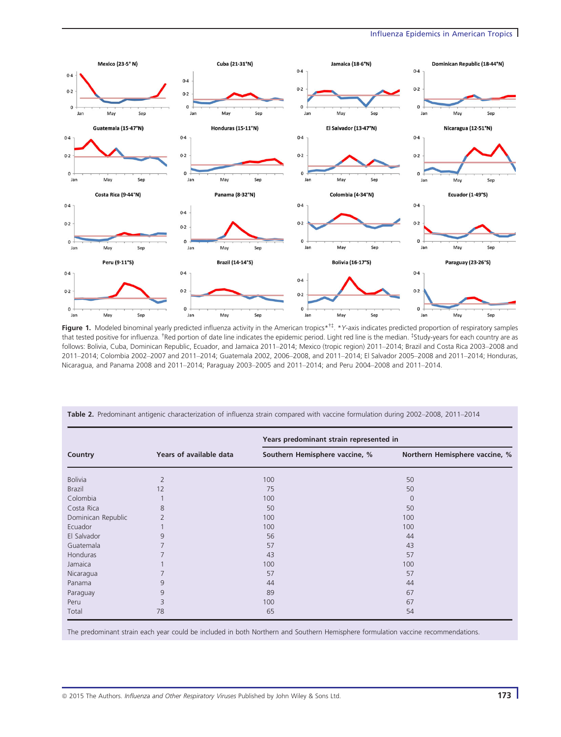#### Influenza Epidemics in American Tropics



Figure 1. Modeled binominal yearly predicted influenza activity in the American tropics\*<sup>†‡</sup>. \*Y-axis indicates predicted proportion of respiratory samples that tested positive for influenza. <sup>†</sup>Red portion of date line indicates the epidemic period. Light red line is the median. <sup>‡</sup>Study-years for each country are as follows: Bolivia, Cuba, Dominican Republic, Ecuador, and Jamaica 2011–2014; Mexico (tropic region) 2011–2014; Brazil and Costa Rica 2003–2008 and 2011–2014; Colombia 2002–2007 and 2011–2014; Guatemala 2002, 2006–2008, and 2011–2014; El Salvador 2005–2008 and 2011–2014; Honduras, Nicaragua, and Panama 2008 and 2011–2014; Paraguay 2003–2005 and 2011–2014; and Peru 2004–2008 and 2011–2014.

|                    |                         | Years predominant strain represented in |                                |
|--------------------|-------------------------|-----------------------------------------|--------------------------------|
| Country            | Years of available data | Southern Hemisphere vaccine, %          | Northern Hemisphere vaccine, % |
| <b>Bolivia</b>     | $\overline{2}$          | 100                                     | 50                             |
| <b>Brazil</b>      | 12                      | 75                                      | 50                             |
| Colombia           |                         | 100                                     | $\Omega$                       |
| Costa Rica         | 8                       | 50                                      | 50                             |
| Dominican Republic | $\overline{2}$          | 100                                     | 100                            |
| Ecuador            |                         | 100                                     | 100                            |
| El Salvador        | 9                       | 56                                      | 44                             |
| Guatemala          | 7                       | 57                                      | 43                             |
| Honduras           |                         | 43                                      | 57                             |
| Jamaica            |                         | 100                                     | 100                            |
| Nicaragua          |                         | 57                                      | 57                             |
| Panama             | 9                       | 44                                      | 44                             |
| Paraguay           | 9                       | 89                                      | 67                             |
| Peru               | 3                       | 100                                     | 67                             |
| Total              | 78                      | 65                                      | 54                             |

Table 2. Predominant antigenic characterization of influenza strain compared with vaccine formulation during 2002–2008, 2011–2014

The predominant strain each year could be included in both Northern and Southern Hemisphere formulation vaccine recommendations.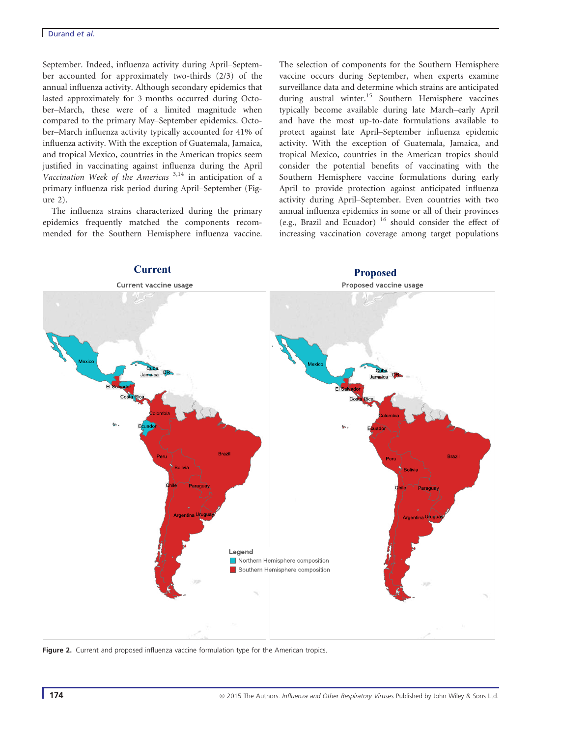September. Indeed, influenza activity during April–September accounted for approximately two-thirds (2/3) of the annual influenza activity. Although secondary epidemics that lasted approximately for 3 months occurred during October–March, these were of a limited magnitude when compared to the primary May–September epidemics. October–March influenza activity typically accounted for 41% of influenza activity. With the exception of Guatemala, Jamaica, and tropical Mexico, countries in the American tropics seem justified in vaccinating against influenza during the April Vaccination Week of the Americas  $3,14$  in anticipation of a primary influenza risk period during April–September (Figure 2).

The influenza strains characterized during the primary epidemics frequently matched the components recommended for the Southern Hemisphere influenza vaccine. The selection of components for the Southern Hemisphere vaccine occurs during September, when experts examine surveillance data and determine which strains are anticipated during austral winter.<sup>15</sup> Southern Hemisphere vaccines typically become available during late March–early April and have the most up-to-date formulations available to protect against late April–September influenza epidemic activity. With the exception of Guatemala, Jamaica, and tropical Mexico, countries in the American tropics should consider the potential benefits of vaccinating with the Southern Hemisphere vaccine formulations during early April to provide protection against anticipated influenza activity during April–September. Even countries with two annual influenza epidemics in some or all of their provinces (e.g., Brazil and Ecuador) <sup>16</sup> should consider the effect of increasing vaccination coverage among target populations



Figure 2. Current and proposed influenza vaccine formulation type for the American tropics.